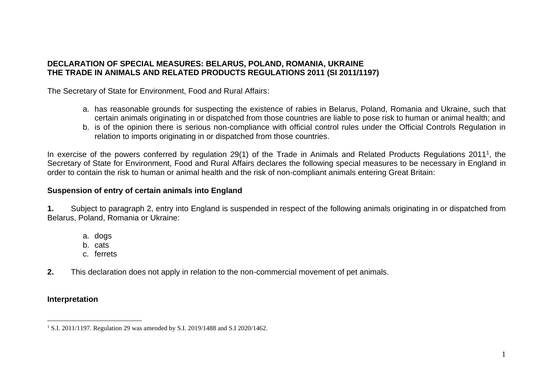## **DECLARATION OF SPECIAL MEASURES: BELARUS, POLAND, ROMANIA, UKRAINE THE TRADE IN ANIMALS AND RELATED PRODUCTS REGULATIONS 2011 (SI 2011/1197)**

The Secretary of State for Environment, Food and Rural Affairs:

- a. has reasonable grounds for suspecting the existence of rabies in Belarus, Poland, Romania and Ukraine, such that certain animals originating in or dispatched from those countries are liable to pose risk to human or animal health; and
- b. is of the opinion there is serious non-compliance with official control rules under the Official Controls Regulation in relation to imports originating in or dispatched from those countries.

In exercise of the powers conferred by regulation 29(1) of the Trade in Animals and Related Products Regulations 2011<sup>1</sup>, the Secretary of State for Environment, Food and Rural Affairs declares the following special measures to be necessary in England in order to contain the risk to human or animal health and the risk of non-compliant animals entering Great Britain:

### **Suspension of entry of certain animals into England**

**1.** Subject to paragraph 2, entry into England is suspended in respect of the following animals originating in or dispatched from Belarus, Poland, Romania or Ukraine:

- a. dogs
- b. cats
- c. ferrets
- **2.** This declaration does not apply in relation to the non-commercial movement of pet animals.

# **Interpretation**

<sup>&</sup>lt;sup>1</sup> S.I. 2011/1197. Regulation 29 was amended by S.I. 2019/1488 and S.I 2020/1462.